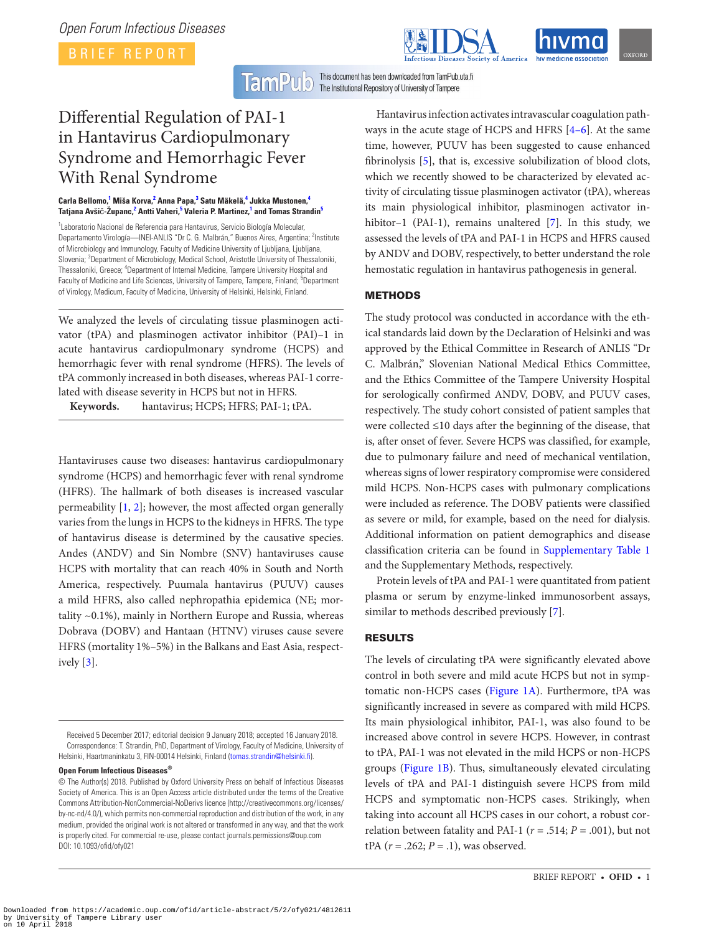

**TamP** This document has been downloaded from TamPub.uta.fi  $\textcolor{blue}{\textbf{U}} \textcolor{blue}{\textbf{[O]}}$ The Institutional Repository of University of Tampere

# Differential Regulation of PAI-1 in Hantavirus Cardiopulmonary Syndrome and Hemorrhagic Fever With Renal Syndrome

#### **Carla Bellomo,[1](#page-0-0) Miša Korva[,2](#page-0-1) Anna Papa[,3](#page-0-2) Satu Mäkelä,[4](#page-0-3) Jukka Mustonen[,4](#page-0-3) Tatjana Avši**č**-Županc,[2](#page-0-1) Antti Vaheri,[5](#page-0-4) Valeria P. Martinez[,1](#page-0-0) and Tomas Strandin[5](#page-0-4)**

<span id="page-0-3"></span><span id="page-0-2"></span><span id="page-0-1"></span><span id="page-0-0"></span><sup>1</sup> Laboratorio Nacional de Referencia para Hantavirus, Servicio Biología Molecular, Departamento Virología—INEI-ANLIS "Dr C. G. Malbrán," Buenos Aires, Argentina; <sup>2</sup>Institute of Microbiology and Immunology, Faculty of Medicine University of Ljubljana, Ljubljana, Slovenia; <sup>3</sup>Department of Microbiology, Medical School, Aristotle University of Thessaloniki, Thessaloniki, Greece; <sup>4</sup>Department of Internal Medicine, Tampere University Hospital and Faculty of Medicine and Life Sciences, University of Tampere, Tampere, Finland; <sup>5</sup>Department of Virology, Medicum, Faculty of Medicine, University of Helsinki, Helsinki, Finland.

<span id="page-0-4"></span>We analyzed the levels of circulating tissue plasminogen activator (tPA) and plasminogen activator inhibitor (PAI)–1 in acute hantavirus cardiopulmonary syndrome (HCPS) and hemorrhagic fever with renal syndrome (HFRS). The levels of tPA commonly increased in both diseases, whereas PAI-1 correlated with disease severity in HCPS but not in HFRS.

**Keywords.** hantavirus; HCPS; HFRS; PAI-1; tPA.

Hantaviruses cause two diseases: hantavirus cardiopulmonary syndrome (HCPS) and hemorrhagic fever with renal syndrome (HFRS). The hallmark of both diseases is increased vascular permeability [[1](#page-3-0), [2\]](#page-3-1); however, the most affected organ generally varies from the lungs in HCPS to the kidneys in HFRS. The type of hantavirus disease is determined by the causative species. Andes (ANDV) and Sin Nombre (SNV) hantaviruses cause HCPS with mortality that can reach 40% in South and North America, respectively. Puumala hantavirus (PUUV) causes a mild HFRS, also called nephropathia epidemica (NE; mortality ~0.1%), mainly in Northern Europe and Russia, whereas Dobrava (DOBV) and Hantaan (HTNV) viruses cause severe HFRS (mortality 1%–5%) in the Balkans and East Asia, respectively  $[3]$  $[3]$  $[3]$ .

**Open Forum Infectious Diseases®**

Hantavirus infection activates intravascular coagulation pathways in the acute stage of HCPS and HFRS [\[4–6](#page-3-3)]. At the same time, however, PUUV has been suggested to cause enhanced fibrinolysis [[5](#page-3-4)], that is, excessive solubilization of blood clots, which we recently showed to be characterized by elevated activity of circulating tissue plasminogen activator (tPA), whereas its main physiological inhibitor, plasminogen activator in-hibitor–1 (PAI-1), remains unaltered [\[7\]](#page-3-5). In this study, we assessed the levels of tPA and PAI-1 in HCPS and HFRS caused by ANDV and DOBV, respectively, to better understand the role hemostatic regulation in hantavirus pathogenesis in general.

# METHODS

The study protocol was conducted in accordance with the ethical standards laid down by the Declaration of Helsinki and was approved by the Ethical Committee in Research of ANLIS "Dr C. Malbrán," Slovenian National Medical Ethics Committee, and the Ethics Committee of the Tampere University Hospital for serologically confirmed ANDV, DOBV, and PUUV cases, respectively. The study cohort consisted of patient samples that were collected ≤10 days after the beginning of the disease, that is, after onset of fever. Severe HCPS was classified, for example, due to pulmonary failure and need of mechanical ventilation, whereas signs of lower respiratory compromise were considered mild HCPS. Non-HCPS cases with pulmonary complications were included as reference. The DOBV patients were classified as severe or mild, for example, based on the need for dialysis. Additional information on patient demographics and disease classification criteria can be found in [Supplementary Table 1](#page-2-0) and the Supplementary Methods, respectively.

Protein levels of tPA and PAI-1 were quantitated from patient plasma or serum by enzyme-linked immunosorbent assays, similar to methods described previously [\[7\]](#page-3-5).

# RESULTS

The levels of circulating tPA were significantly elevated above control in both severe and mild acute HCPS but not in symptomatic non-HCPS cases [\(Figure 1A](#page-1-0)). Furthermore, tPA was significantly increased in severe as compared with mild HCPS. Its main physiological inhibitor, PAI-1, was also found to be increased above control in severe HCPS. However, in contrast to tPA, PAI-1 was not elevated in the mild HCPS or non-HCPS groups ([Figure 1B](#page-1-0)). Thus, simultaneously elevated circulating levels of tPA and PAI-1 distinguish severe HCPS from mild HCPS and symptomatic non-HCPS cases. Strikingly, when taking into account all HCPS cases in our cohort, a robust correlation between fatality and PAI-1 ( $r = .514; P = .001$ ), but not tPA  $(r = .262; P = .1)$ , was observed.

Received 5 December 2017; editorial decision 9 January 2018; accepted 16 January 2018. Correspondence: T. Strandin, PhD, Department of Virology, Faculty of Medicine, University of Helsinki, Haartmaninkatu 3, FIN-00014 Helsinki, Finland ([tomas.strandin@helsinki.fi](mailto:tomas.strandin@helsinki.fi?subject=)).

<sup>©</sup> The Author(s) 2018. Published by Oxford University Press on behalf of Infectious Diseases Society of America. This is an Open Access article distributed under the terms of the Creative Commons Attribution-NonCommercial-NoDerivs licence (http://creativecommons.org/licenses/ by-nc-nd/4.0/), which permits non-commercial reproduction and distribution of the work, in any medium, provided the original work is not altered or transformed in any way, and that the work is properly cited. For commercial re-use, please contact journals.permissions@oup.com DOI: 10.1093/ofid/ofy021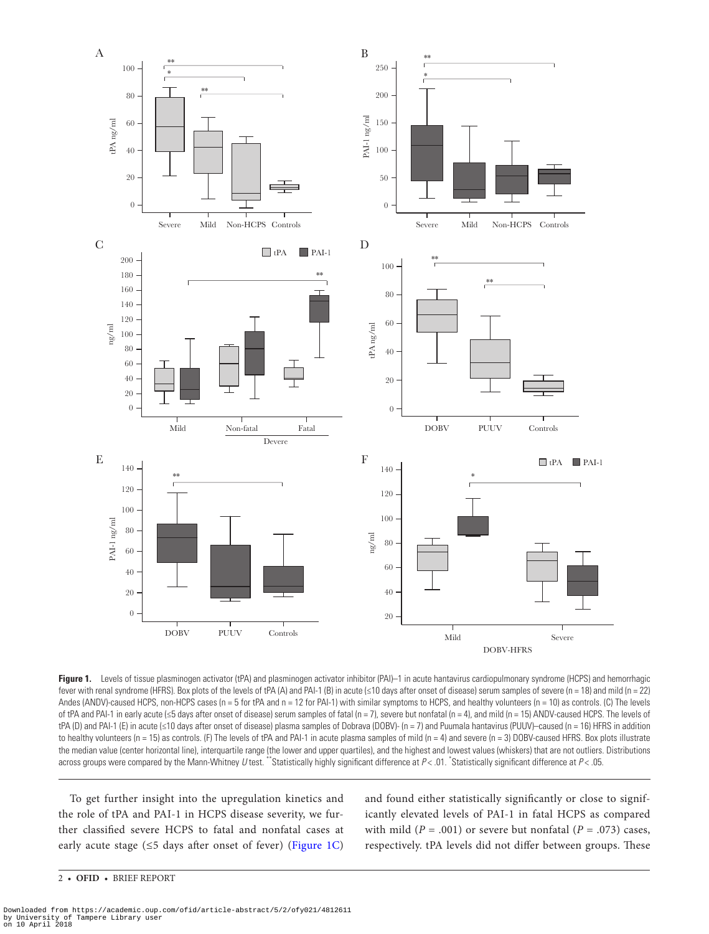

<span id="page-1-0"></span>**Figure 1.** Levels of tissue plasminogen activator (tPA) and plasminogen activator inhibitor (PAI)–1 in acute hantavirus cardiopulmonary syndrome (HCPS) and hemorrhagic fever with renal syndrome (HFRS). Box plots of the levels of tPA (A) and PAI-1 (B) in acute (≤10 days after onset of disease) serum samples of severe (n = 18) and mild (n = 22) Andes (ANDV)-caused HCPS, non-HCPS cases (n = 5 for tPA and n = 12 for PAI-1) with similar symptoms to HCPS, and healthy volunteers (n = 10) as controls. (C) The levels of tPA and PAI-1 in early acute (≤5 days after onset of disease) serum samples of fatal (n = 7), severe but nonfatal (n = 4), and mild (n = 15) ANDV-caused HCPS. The levels of tPA (D) and PAI-1 (E) in acute (≤10 days after onset of disease) plasma samples of Dobrava (DOBV)- (n = 7) and Puumala hantavirus (PUUV)–caused (n = 16) HFRS in addition to healthy volunteers (n = 15) as controls. (F) The levels of tPA and PAI-1 in acute plasma samples of mild (n = 4) and severe (n = 3) DOBV-caused HFRS. Box plots illustrate the median value (center horizontal line), interquartile range (the lower and upper quartiles), and the highest and lowest values (whiskers) that are not outliers. Distributions across groups were compared by the Mann-Whitney U test. "Statistically highly significant difference at  $P < 01$ . Statistically significant difference at  $P < 05$ .

To get further insight into the upregulation kinetics and the role of tPA and PAI-1 in HCPS disease severity, we further classified severe HCPS to fatal and nonfatal cases at early acute stage ( $\leq$ 5 days after onset of fever) (Figure 1C) and found either statistically significantly or close to significantly elevated levels of PAI-1 in fatal HCPS as compared with mild ( $P = .001$ ) or severe but nonfatal ( $P = .073$ ) cases, respectively. tPA levels did not differ between groups. These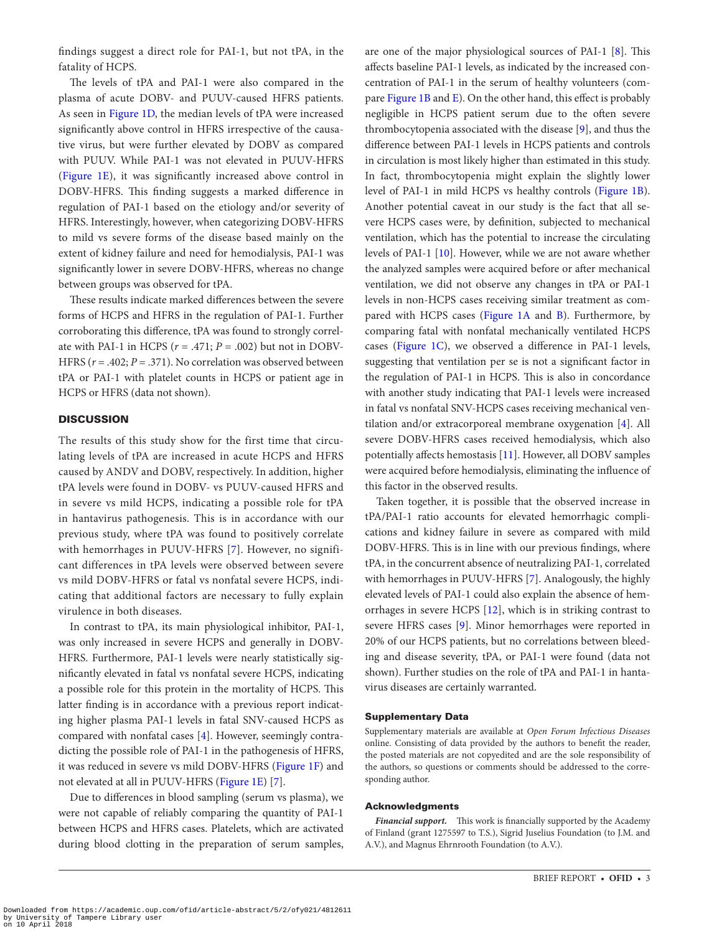findings suggest a direct role for PAI-1, but not tPA, in the fatality of HCPS.

The levels of tPA and PAI-1 were also compared in the plasma of acute DOBV- and PUUV-caused HFRS patients. As seen in [Figure 1D,](#page-1-0) the median levels of tPA were increased significantly above control in HFRS irrespective of the causative virus, but were further elevated by DOBV as compared with PUUV. While PAI-1 was not elevated in PUUV-HFRS [\(Figure 1E\)](#page-1-0), it was significantly increased above control in DOBV-HFRS. This finding suggests a marked difference in regulation of PAI-1 based on the etiology and/or severity of HFRS. Interestingly, however, when categorizing DOBV-HFRS to mild vs severe forms of the disease based mainly on the extent of kidney failure and need for hemodialysis, PAI-1 was significantly lower in severe DOBV-HFRS, whereas no change between groups was observed for tPA.

These results indicate marked differences between the severe forms of HCPS and HFRS in the regulation of PAI-1. Further corroborating this difference, tPA was found to strongly correlate with PAI-1 in HCPS  $(r = .471; P = .002)$  but not in DOBV-HFRS  $(r = .402; P = .371)$ . No correlation was observed between tPA or PAI-1 with platelet counts in HCPS or patient age in HCPS or HFRS (data not shown).

## **DISCUSSION**

The results of this study show for the first time that circulating levels of tPA are increased in acute HCPS and HFRS caused by ANDV and DOBV, respectively. In addition, higher tPA levels were found in DOBV- vs PUUV-caused HFRS and in severe vs mild HCPS, indicating a possible role for tPA in hantavirus pathogenesis. This is in accordance with our previous study, where tPA was found to positively correlate with hemorrhages in PUUV-HFRS [[7](#page-3-5)]. However, no significant differences in tPA levels were observed between severe vs mild DOBV-HFRS or fatal vs nonfatal severe HCPS, indicating that additional factors are necessary to fully explain virulence in both diseases.

In contrast to tPA, its main physiological inhibitor, PAI-1, was only increased in severe HCPS and generally in DOBV-HFRS. Furthermore, PAI-1 levels were nearly statistically significantly elevated in fatal vs nonfatal severe HCPS, indicating a possible role for this protein in the mortality of HCPS. This latter finding is in accordance with a previous report indicating higher plasma PAI-1 levels in fatal SNV-caused HCPS as compared with nonfatal cases [\[4\]](#page-3-3). However, seemingly contradicting the possible role of PAI-1 in the pathogenesis of HFRS, it was reduced in severe vs mild DOBV-HFRS [\(Figure 1F\)](#page-1-0) and not elevated at all in PUUV-HFRS [\(Figure 1E\)](#page-1-0) [\[7\]](#page-3-5).

Due to differences in blood sampling (serum vs plasma), we were not capable of reliably comparing the quantity of PAI-1 between HCPS and HFRS cases. Platelets, which are activated during blood clotting in the preparation of serum samples,

are one of the major physiological sources of PAI-1 [\[8\]](#page-3-6). This affects baseline PAI-1 levels, as indicated by the increased concentration of PAI-1 in the serum of healthy volunteers (compare [Figure 1B](#page-1-0) and [E](#page-1-0)). On the other hand, this effect is probably negligible in HCPS patient serum due to the often severe thrombocytopenia associated with the disease [[9](#page-3-7)], and thus the difference between PAI-1 levels in HCPS patients and controls in circulation is most likely higher than estimated in this study. In fact, thrombocytopenia might explain the slightly lower level of PAI-1 in mild HCPS vs healthy controls ([Figure 1B\)](#page-1-0). Another potential caveat in our study is the fact that all severe HCPS cases were, by definition, subjected to mechanical ventilation, which has the potential to increase the circulating levels of PAI-1 [[10\]](#page-3-8). However, while we are not aware whether the analyzed samples were acquired before or after mechanical ventilation, we did not observe any changes in tPA or PAI-1 levels in non-HCPS cases receiving similar treatment as com-pared with HCPS cases (Figure 1A and [B\)](#page-1-0). Furthermore, by comparing fatal with nonfatal mechanically ventilated HCPS cases ([Figure 1C\)](#page-1-0), we observed a difference in PAI-1 levels, suggesting that ventilation per se is not a significant factor in the regulation of PAI-1 in HCPS. This is also in concordance with another study indicating that PAI-1 levels were increased in fatal vs nonfatal SNV-HCPS cases receiving mechanical ventilation and/or extracorporeal membrane oxygenation [[4](#page-3-3)]. All severe DOBV-HFRS cases received hemodialysis, which also potentially affects hemostasis [\[11\]](#page-3-9). However, all DOBV samples were acquired before hemodialysis, eliminating the influence of this factor in the observed results.

Taken together, it is possible that the observed increase in tPA/PAI-1 ratio accounts for elevated hemorrhagic complications and kidney failure in severe as compared with mild DOBV-HFRS. This is in line with our previous findings, where tPA, in the concurrent absence of neutralizing PAI-1, correlated with hemorrhages in PUUV-HFRS [[7](#page-3-5)]. Analogously, the highly elevated levels of PAI-1 could also explain the absence of hemorrhages in severe HCPS [\[12](#page-3-10)], which is in striking contrast to severe HFRS cases [\[9\]](#page-3-7). Minor hemorrhages were reported in 20% of our HCPS patients, but no correlations between bleeding and disease severity, tPA, or PAI-1 were found (data not shown). Further studies on the role of tPA and PAI-1 in hantavirus diseases are certainly warranted.

### <span id="page-2-0"></span>Supplementary Data

Supplementary materials are available at *Open Forum Infectious Diseases* online. Consisting of data provided by the authors to benefit the reader, the posted materials are not copyedited and are the sole responsibility of the authors, so questions or comments should be addressed to the corresponding author.

### Acknowledgments

*Financial support.* This work is financially supported by the Academy of Finland (grant 1275597 to T.S.), Sigrid Juselius Foundation (to J.M. and A.V.), and Magnus Ehrnrooth Foundation (to A.V.).